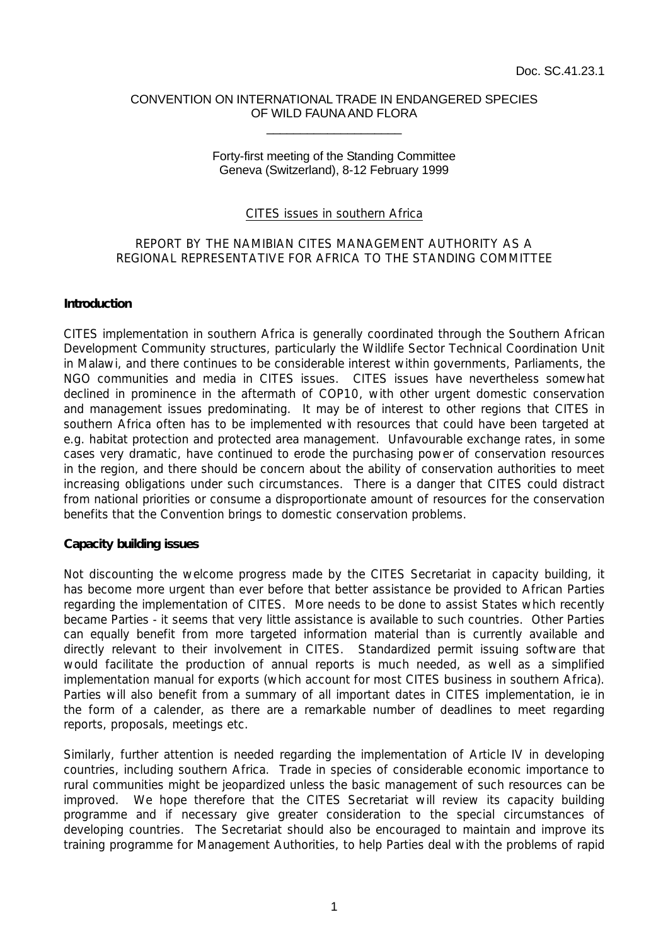#### CONVENTION ON INTERNATIONAL TRADE IN ENDANGERED SPECIES OF WILD FAUNA AND FLORA \_\_\_\_\_\_\_\_\_\_\_\_\_\_\_\_\_\_\_\_

### Forty-first meeting of the Standing Committee Geneva (Switzerland), 8-12 February 1999

## CITES issues in southern Africa

## REPORT BY THE NAMIBIAN CITES MANAGEMENT AUTHORITY AS A REGIONAL REPRESENTATIVE FOR AFRICA TO THE STANDING COMMITTEE

### **Introduction**

CITES implementation in southern Africa is generally coordinated through the Southern African Development Community structures, particularly the Wildlife Sector Technical Coordination Unit in Malawi, and there continues to be considerable interest within governments, Parliaments, the NGO communities and media in CITES issues. CITES issues have nevertheless somewhat declined in prominence in the aftermath of COP10, with other urgent domestic conservation and management issues predominating. It may be of interest to other regions that CITES in southern Africa often has to be implemented with resources that could have been targeted at e.g. habitat protection and protected area management. Unfavourable exchange rates, in some cases very dramatic, have continued to erode the purchasing power of conservation resources in the region, and there should be concern about the ability of conservation authorities to meet increasing obligations under such circumstances. There is a danger that CITES could distract from national priorities or consume a disproportionate amount of resources for the conservation benefits that the Convention brings to domestic conservation problems.

#### **Capacity building issues**

Not discounting the welcome progress made by the CITES Secretariat in capacity building, it has become more urgent than ever before that better assistance be provided to African Parties regarding the implementation of CITES. More needs to be done to assist States which recently became Parties - it seems that very little assistance is available to such countries. Other Parties can equally benefit from more targeted information material than is currently available and directly relevant to their involvement in CITES. Standardized permit issuing software that would facilitate the production of annual reports is much needed, as well as a simplified implementation manual for exports (which account for most CITES business in southern Africa). Parties will also benefit from a summary of all important dates in CITES implementation, ie in the form of a calender, as there are a remarkable number of deadlines to meet regarding reports, proposals, meetings etc.

Similarly, further attention is needed regarding the implementation of Article IV in developing countries, including southern Africa. Trade in species of considerable economic importance to rural communities might be jeopardized unless the basic management of such resources can be improved. We hope therefore that the CITES Secretariat will review its capacity building programme and if necessary give greater consideration to the special circumstances of developing countries. The Secretariat should also be encouraged to maintain and improve its training programme for Management Authorities, to help Parties deal with the problems of rapid